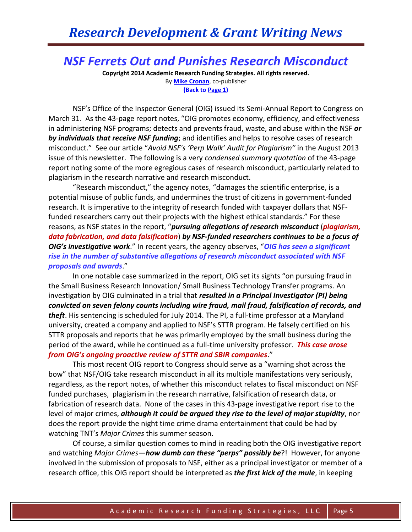## *NSF Ferrets Out and Punishes Research Misconduct*

**Copyright 2014 Academic Research Funding Strategies. All rights reserved.** By **[Mike Cronan](mailto:mjcronan@gmail.com)**, co-publisher **(Back to Page 1)**

NSF's Office of the Inspector General (OIG) issued its Semi-Annual Report to Congress on March 31. As the 43-page report notes, "OIG promotes economy, efficiency, and effectiveness in administering NSF programs; detects and prevents fraud, waste, and abuse within the NSF *or by individuals that receive NSF funding*; and identifies and helps to resolve cases of research misconduct." See our article "*Avoid NSF's 'Perp Walk' Audit for Plagiarism"* in the August 2013 issue of this newsletter. The following is a very *condensed summary quotation* of the 43-page report noting some of the more egregious cases of research misconduct, particularly related to plagiarism in the research narrative and research misconduct.

"Research misconduct," the agency notes, "damages the scientific enterprise, is a potential misuse of public funds, and undermines the trust of citizens in government-funded research. It is imperative to the integrity of research funded with taxpayer dollars that NSFfunded researchers carry out their projects with the highest ethical standards." For these reasons, as NSF states in the report, "*pursuing allegations of research misconduct* (*plagiarism, data fabrication, and data falsification*) *by NSF-funded researchers continues to be a focus of OIG's investigative work*." In recent years, the agency observes, "*OIG has seen a significant rise in the number of substantive allegations of research misconduct associated with NSF proposals and awards*."

In one notable case summarized in the report, OIG set its sights "on pursuing fraud in the Small Business Research Innovation/ Small Business Technology Transfer programs. An investigation by OIG culminated in a trial that *resulted in a Principal Investigator (PI) being convicted on seven felony counts including wire fraud, mail fraud, falsification of records, and theft*. His sentencing is scheduled for July 2014. The PI, a full-time professor at a Maryland university, created a company and applied to NSF's STTR program. He falsely certified on his STTR proposals and reports that he was primarily employed by the small business during the period of the award, while he continued as a full-time university professor. *This case arose from OIG's ongoing proactive review of STTR and SBIR companies*."

This most recent OIG report to Congress should serve as a "warning shot across the bow" that NSF/OIG take research misconduct in all its multiple manifestations very seriously, regardless, as the report notes, of whether this misconduct relates to fiscal misconduct on NSF funded purchases, plagiarism in the research narrative, falsification of research data, or fabrication of research data. None of the cases in this 43-page investigative report rise to the level of major crimes, *although it could be argued they rise to the level of major stupidity*, nor does the report provide the night time crime drama entertainment that could be had by watching TNT's *Major Crimes* this summer season.

Of course, a similar question comes to mind in reading both the OIG investigative report and watching *Major Crimes*—*how dumb can these "perps" possibly be*?! However, for anyone involved in the submission of proposals to NSF, either as a principal investigator or member of a research office, this OIG report should be interpreted as *the first kick of the mule*, in keeping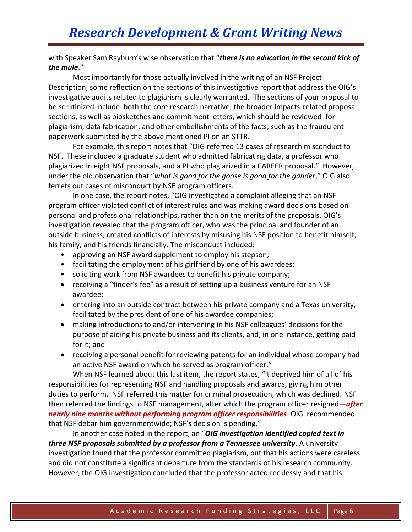with Speaker Sam Rayburn's wise observation that "*there is no education in the second kick of the mule*."

Most importantly for those actually involved in the writing of an NSF Project Description, some reflection on the sections of this investigative report that address the OIG's investigative audits related to plagiarism is clearly warranted. The sections of your proposal to be scrutinized include both the core research narrative, the broader impacts-related proposal sections, as well as biosketches and commitment letters, which should be reviewed for plagiarism, data fabrication, and other embellishments of the facts, such as the fraudulent paperwork submitted by the above mentioned PI on an STTR.

For example, this report notes that "OIG referred 13 cases of research misconduct to NSF. These included a graduate student who admitted fabricating data, a professor who plagiarized in eight NSF proposals, and a PI who plagiarized in a CAREER proposal." However, under the old observation that "*what is good for the goose is good for the gander*," OIG also ferrets out cases of misconduct by NSF program officers.

In one case, the report notes, "OIG investigated a complaint alleging that an NSF program officer violated conflict of interest rules and was making award decisions based on personal and professional relationships, rather than on the merits of the proposals. OIG's investigation revealed that the program officer, who was the principal and founder of an outside business, created conflicts of interests by misusing his NSF position to benefit himself, his family, and his friends financially. The misconduct included:

- approving an NSF award supplement to employ his stepson;
- facilitating the employment of his girlfriend by one of his awardees;
- soliciting work from NSF awardees to benefit his private company;
- receiving a "finder's fee" as a result of setting up a business venture for an NSF awardee;
- entering into an outside contract between his private company and a Texas university, facilitated by the president of one of his awardee companies;
- making introductions to and/or intervening in his NSF colleagues' decisions for the purpose of aiding his private business and its clients, and, in one instance, getting paid for it; and
- receiving a personal benefit for reviewing patents for an individual whose company had an active NSF award on which he served as program officer."

When NSF learned about this last item, the report states, "it deprived him of all of his responsibilities for representing NSF and handling proposals and awards, giving him other duties to perform. NSF referred this matter for criminal prosecution, which was declined. NSF then referred the findings to NSF management, after which the program officer resigned—*after nearly nine months without performing program officer responsibilities*. OIG recommended that NSF debar him governmentwide; NSF's decision is pending."

In another case noted in the report, an "*OIG investigation identified copied text in three NSF proposals submitted by a professor from a Tennessee university*. A university investigation found that the professor committed plagiarism, but that his actions were careless and did not constitute a significant departure from the standards of his research community. However, the OIG investigation concluded that the professor acted recklessly and that his